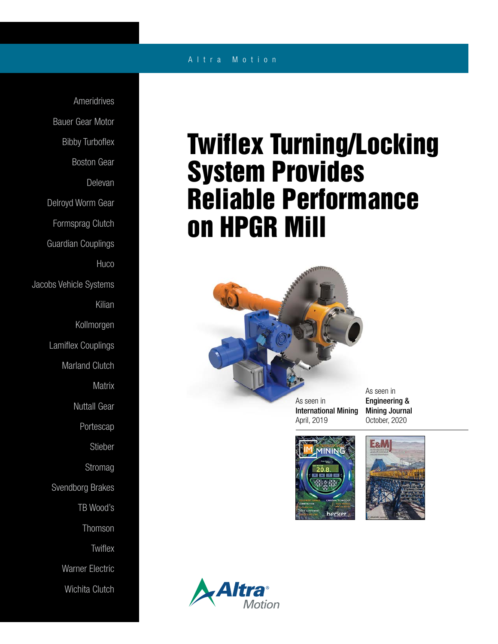## A l t r a M o t i o n

Ameridrives Bauer Gear Motor Bibby Turboflex Boston Gear Delevan Delroyd Worm Gear Formsprag Clutch Guardian Couplings **Huco** Jacobs Vehicle Systems Kilian Kollmorgen Lamiflex Couplings Marland Clutch **Matrix** Nuttall Gear Portescap Stieber Stromag Svendborg Brakes TB Wood's Thomson **Twiflex** Warner Electric Wichita Clutch

## Twiflex Turning/Locking System Provides Reliable Performance on HPGR Mill



As seen in International Mining April, 2019

As seen in Engineering & Mining Journal October, 2020





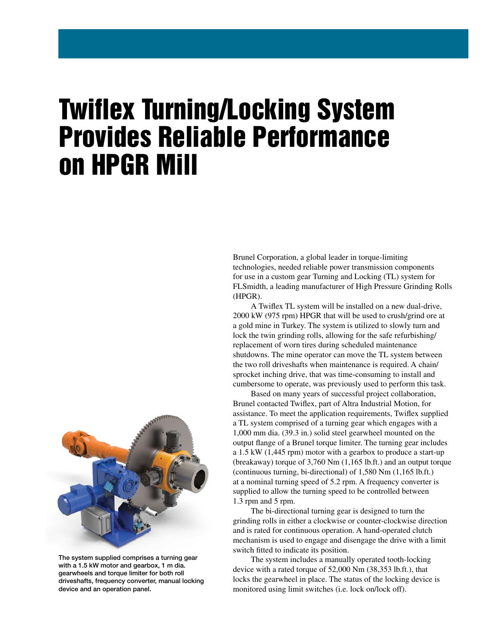## Twiflex Turning/Locking System Provides Reliable Performance on HPGR Mill

Brunel Corporation, a global leader in torque-limiting technologies, needed reliable power transmission components for use in a custom gear Turning and Locking (TL) system for FLSmidth, a leading manufacturer of High Pressure Grinding Rolls (HPGR).

 A Twiflex TL system will be installed on a new dual-drive, 2000 kW (975 rpm) HPGR that will be used to crush/grind ore at a gold mine in Turkey. The system is utilized to slowly turn and lock the twin grinding rolls, allowing for the safe refurbishing/ replacement of worn tires during scheduled maintenance shutdowns. The mine operator can move the TL system between the two roll driveshafts when maintenance is required. A chain/ sprocket inching drive, that was time-consuming to install and cumbersome to operate, was previously used to perform this task.

 Based on many years of successful project collaboration, Brunel contacted Twiflex, part of Altra Industrial Motion, for assistance. To meet the application requirements, Twiflex supplied a TL system comprised of a turning gear which engages with a 1,000 mm dia. (39.3 in.) solid steel gearwheel mounted on the output flange of a Brunel torque limiter. The turning gear includes a 1.5 kW (1,445 rpm) motor with a gearbox to produce a start-up (breakaway) torque of 3,760 Nm (1,165 lb.ft.) and an output torque (continuous turning, bi-directional) of 1,580 Nm (1,165 lb.ft.) at a nominal turning speed of 5.2 rpm. A frequency converter is supplied to allow the turning speed to be controlled between 1.3 rpm and 5 rpm.

 The bi-directional turning gear is designed to turn the grinding rolls in either a clockwise or counter-clockwise direction and is rated for continuous operation. A hand-operated clutch mechanism is used to engage and disengage the drive with a limit switch fitted to indicate its position.

 The system includes a manually operated tooth-locking device with a rated torque of 52,000 Nm (38,353 lb.ft.), that locks the gearwheel in place. The status of the locking device is monitored using limit switches (i.e. lock on/lock off).



The system supplied comprises a turning gear with a 1.5 kW motor and gearbox, 1 m dia. gearwheels and torque limiter for both roll driveshafts, frequency converter, manual locking device and an operation panel.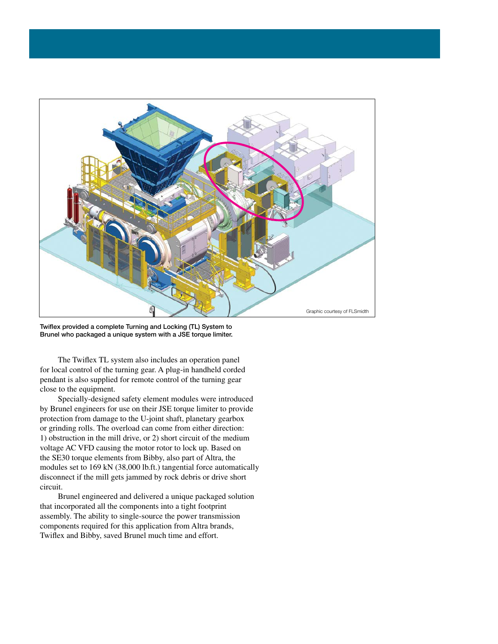

Twiflex provided a complete Turning and Locking (TL) System to Brunel who packaged a unique system with a JSE torque limiter.

 The Twiflex TL system also includes an operation panel for local control of the turning gear. A plug-in handheld corded pendant is also supplied for remote control of the turning gear close to the equipment.

 Specially-designed safety element modules were introduced by Brunel engineers for use on their JSE torque limiter to provide protection from damage to the U-joint shaft, planetary gearbox or grinding rolls. The overload can come from either direction: 1) obstruction in the mill drive, or 2) short circuit of the medium voltage AC VFD causing the motor rotor to lock up. Based on the SE30 torque elements from Bibby, also part of Altra, the modules set to 169 kN (38,000 lb.ft.) tangential force automatically disconnect if the mill gets jammed by rock debris or drive short circuit.

 Brunel engineered and delivered a unique packaged solution that incorporated all the components into a tight footprint assembly. The ability to single-source the power transmission components required for this application from Altra brands, Twiflex and Bibby, saved Brunel much time and effort.